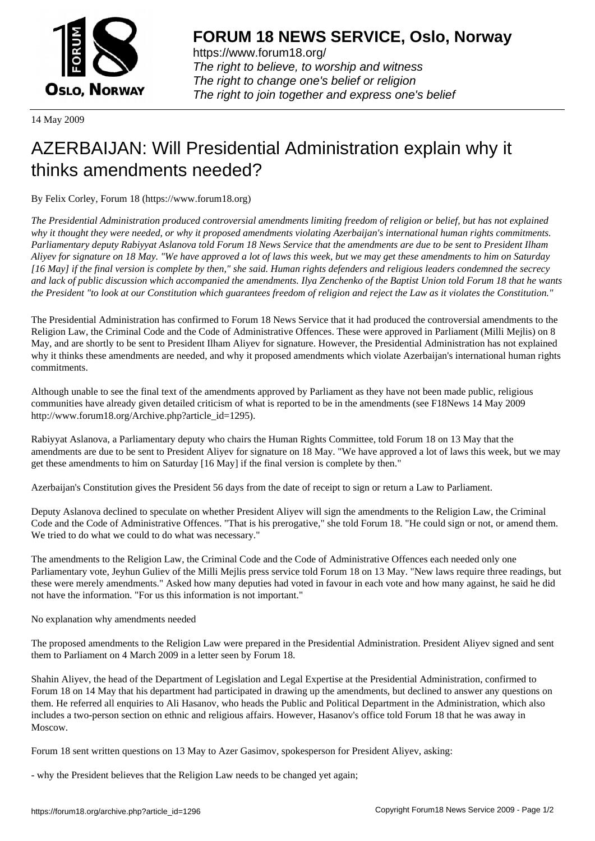

https://www.forum18.org/ The right to believe, to worship and witness The right to change one's belief or religion [The right to join together a](https://www.forum18.org/)nd express one's belief

14 May 2009

## [AZERBAIJAN: W](https://www.forum18.org)ill Presidential Administration explain why it thinks amendments needed?

By Felix Corley, Forum 18 (https://www.forum18.org)

*The Presidential Administration produced controversial amendments limiting freedom of religion or belief, but has not explained why it thought they were needed, or why it proposed amendments violating Azerbaijan's international human rights commitments. Parliamentary deputy Rabiyyat Aslanova told Forum 18 News Service that the amendments are due to be sent to President Ilham Aliyev for signature on 18 May. "We have approved a lot of laws this week, but we may get these amendments to him on Saturday [16 May] if the final version is complete by then," she said. Human rights defenders and religious leaders condemned the secrecy and lack of public discussion which accompanied the amendments. Ilya Zenchenko of the Baptist Union told Forum 18 that he wants the President "to look at our Constitution which guarantees freedom of religion and reject the Law as it violates the Constitution."*

The Presidential Administration has confirmed to Forum 18 News Service that it had produced the controversial amendments to the Religion Law, the Criminal Code and the Code of Administrative Offences. These were approved in Parliament (Milli Mejlis) on 8 May, and are shortly to be sent to President Ilham Aliyev for signature. However, the Presidential Administration has not explained why it thinks these amendments are needed, and why it proposed amendments which violate Azerbaijan's international human rights commitments.

Although unable to see the final text of the amendments approved by Parliament as they have not been made public, religious communities have already given detailed criticism of what is reported to be in the amendments (see F18News 14 May 2009 http://www.forum18.org/Archive.php?article\_id=1295).

Rabiyyat Aslanova, a Parliamentary deputy who chairs the Human Rights Committee, told Forum 18 on 13 May that the amendments are due to be sent to President Aliyev for signature on 18 May. "We have approved a lot of laws this week, but we may get these amendments to him on Saturday [16 May] if the final version is complete by then."

Azerbaijan's Constitution gives the President 56 days from the date of receipt to sign or return a Law to Parliament.

Deputy Aslanova declined to speculate on whether President Aliyev will sign the amendments to the Religion Law, the Criminal Code and the Code of Administrative Offences. "That is his prerogative," she told Forum 18. "He could sign or not, or amend them. We tried to do what we could to do what was necessary."

The amendments to the Religion Law, the Criminal Code and the Code of Administrative Offences each needed only one Parliamentary vote, Jeyhun Guliev of the Milli Mejlis press service told Forum 18 on 13 May. "New laws require three readings, but these were merely amendments." Asked how many deputies had voted in favour in each vote and how many against, he said he did not have the information. "For us this information is not important."

No explanation why amendments needed

The proposed amendments to the Religion Law were prepared in the Presidential Administration. President Aliyev signed and sent them to Parliament on 4 March 2009 in a letter seen by Forum 18.

Shahin Aliyev, the head of the Department of Legislation and Legal Expertise at the Presidential Administration, confirmed to Forum 18 on 14 May that his department had participated in drawing up the amendments, but declined to answer any questions on them. He referred all enquiries to Ali Hasanov, who heads the Public and Political Department in the Administration, which also includes a two-person section on ethnic and religious affairs. However, Hasanov's office told Forum 18 that he was away in Moscow.

Forum 18 sent written questions on 13 May to Azer Gasimov, spokesperson for President Aliyev, asking:

- why the President believes that the Religion Law needs to be changed yet again;